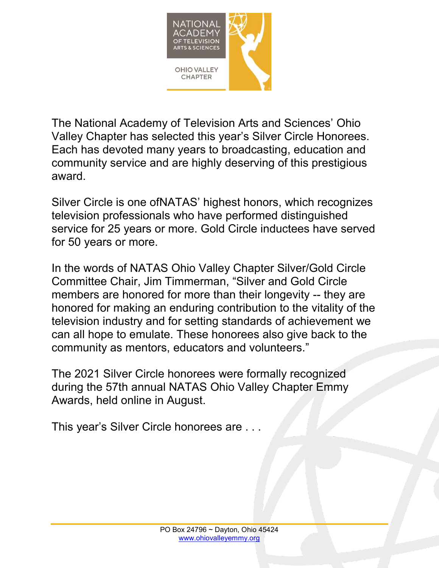

The National Academy of Television Arts and Sciences' Ohio Valley Chapter has selected this year's Silver Circle Honorees. Each has devoted many years to broadcasting, education and community service and are highly deserving of this prestigious award.

Silver Circle is one ofNATAS' highest honors, which recognizes television professionals who have performed distinguished service for 25 years or more. Gold Circle inductees have served for 50 years or more.

In the words of NATAS Ohio Valley Chapter Silver/Gold Circle Committee Chair, Jim Timmerman, "Silver and Gold Circle members are honored for more than their longevity -- they are honored for making an enduring contribution to the vitality of the television industry and for setting standards of achievement we can all hope to emulate. These honorees also give back to the community as mentors, educators and volunteers."

The 2021 Silver Circle honorees were formally recognized during the 57th annual NATAS Ohio Valley Chapter Emmy Awards, held online in August.

This year's Silver Circle honorees are . . .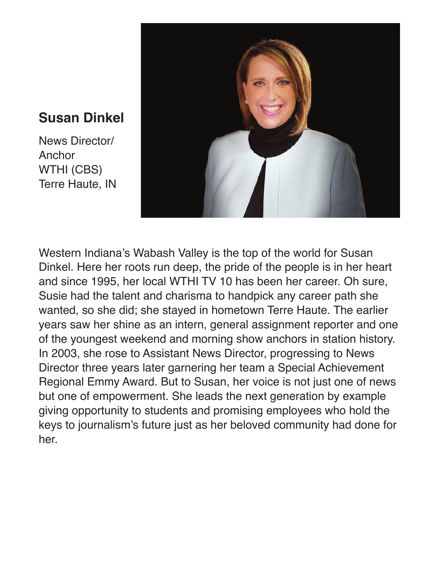#### **Susan Dinkel**

News Director/ **Anchor** WTHI (CBS) Terre Haute, IN



Western Indiana's Wabash Valley is the top of the world for Susan Dinkel. Here her roots run deep, the pride of the people is in her heart and since 1995, her local WTHI TV 10 has been her career. Oh sure, Susie had the talent and charisma to handpick any career path she wanted, so she did; she stayed in hometown Terre Haute. The earlier years saw her shine as an intern, general assignment reporter and one of the youngest weekend and morning show anchors in station history. In 2003, she rose to Assistant News Director, progressing to News Director three years later garnering her team a Special Achievement Regional Emmy Award. But to Susan, her voice is not just one of news but one of empowerment. She leads the next generation by example giving opportunity to students and promising employees who hold the keys to journalism's future just as her beloved community had done for her.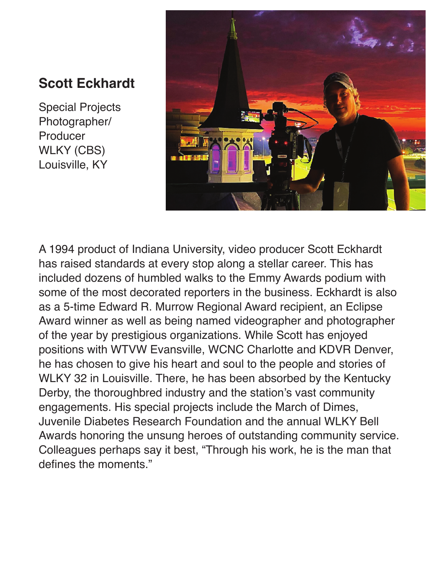### **Scott Eckhardt**

Special Projects Photographer/ Producer WLKY (CBS) Louisville, KY



A 1994 product of Indiana University, video producer Scott Eckhardt has raised standards at every stop along a stellar career. This has included dozens of humbled walks to the Emmy Awards podium with some of the most decorated reporters in the business. Eckhardt is also as a 5-time Edward R. Murrow Regional Award recipient, an Eclipse Award winner as well as being named videographer and photographer of the year by prestigious organizations. While Scott has enjoyed positions with WTVW Evansville, WCNC Charlotte and KDVR Denver, he has chosen to give his heart and soul to the people and stories of WLKY 32 in Louisville. There, he has been absorbed by the Kentucky Derby, the thoroughbred industry and the station's vast community engagements. His special projects include the March of Dimes, Juvenile Diabetes Research Foundation and the annual WLKY Bell Awards honoring the unsung heroes of outstanding community service. Colleagues perhaps say it best, "Through his work, he is the man that defines the moments."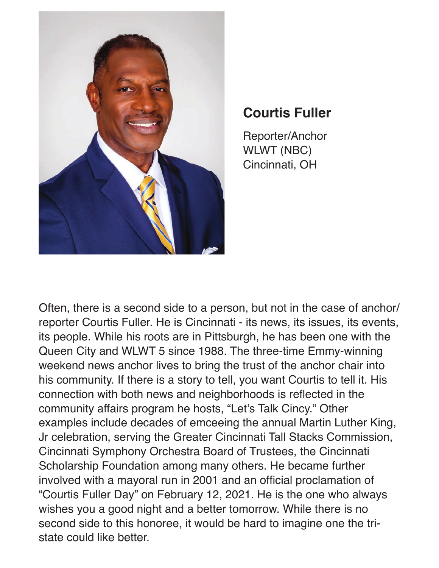

## **Courtis Fuller**

Reporter/Anchor WLWT (NBC) Cincinnati, OH

Often, there is a second side to a person, but not in the case of anchor/ reporter Courtis Fuller. He is Cincinnati - its news, its issues, its events, its people. While his roots are in Pittsburgh, he has been one with the Queen City and WLWT 5 since 1988. The three-time Emmy-winning weekend news anchor lives to bring the trust of the anchor chair into his community. If there is a story to tell, you want Courtis to tell it. His connection with both news and neighborhoods is reflected in the community affairs program he hosts, "Let's Talk Cincy." Other examples include decades of emceeing the annual Martin Luther King, Jr celebration, serving the Greater Cincinnati Tall Stacks Commission, Cincinnati Symphony Orchestra Board of Trustees, the Cincinnati Scholarship Foundation among many others. He became further involved with a mayoral run in 2001 and an official proclamation of "Courtis Fuller Day" on February 12, 2021. He is the one who always wishes you a good night and a better tomorrow. While there is no second side to this honoree, it would be hard to imagine one the tristate could like better.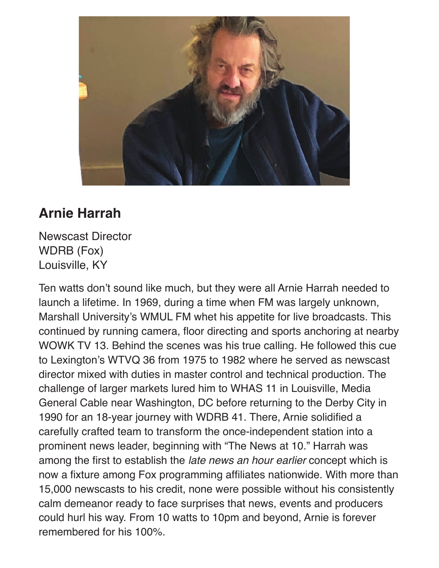

# **Arnie Harrah**

Newscast Director WDRB (Fox) Louisville, KY

Ten watts don't sound like much, but they were all Arnie Harrah needed to launch a lifetime. In 1969, during a time when FM was largely unknown, Marshall University's WMUL FM whet his appetite for live broadcasts. This continued by running camera, floor directing and sports anchoring at nearby WOWK TV 13. Behind the scenes was his true calling. He followed this cue to Lexington's WTVQ 36 from 1975 to 1982 where he served as newscast director mixed with duties in master control and technical production. The challenge of larger markets lured him to WHAS 11 in Louisville, Media General Cable near Washington, DC before returning to the Derby City in 1990 for an 18-year journey with WDRB 41. There, Arnie solidified a carefully crafted team to transform the once-independent station into a prominent news leader, beginning with "The News at 10." Harrah was among the first to establish the *late news an hour earlier* concept which is now a fixture among Fox programming affiliates nationwide. With more than 15,000 newscasts to his credit, none were possible without his consistently calm demeanor ready to face surprises that news, events and producers could hurl his way. From 10 watts to 10pm and beyond, Arnie is forever remembered for his 100%.